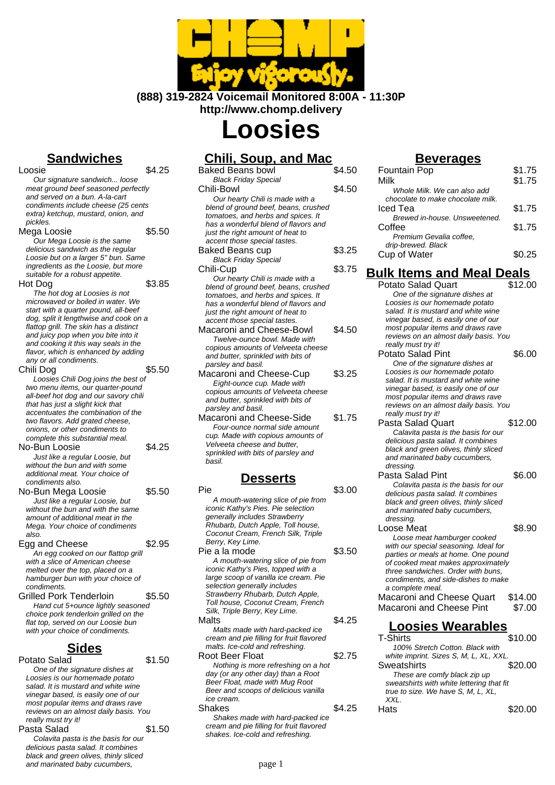

**(888) 319-2824 Voicemail Monitored 8:00A - 11:30P http://www.chomp.delivery**

# **Loosies**

## **Sandwiches**

 $\overline{\phantom{a}}$   $\overline{\phantom{a}}$   $\overline{\phantom{a}}$   $\overline{\phantom{a}}$   $\overline{\phantom{a}}$   $\overline{\phantom{a}}$   $\overline{\phantom{a}}$   $\overline{\phantom{a}}$   $\overline{\phantom{a}}$   $\overline{\phantom{a}}$   $\overline{\phantom{a}}$   $\overline{\phantom{a}}$   $\overline{\phantom{a}}$   $\overline{\phantom{a}}$   $\overline{\phantom{a}}$   $\overline{\phantom{a}}$   $\overline{\phantom{a}}$   $\overline{\phantom{a}}$   $\overline{\$ Our signature sandwich... loose meat ground beef seasoned perfectly and served on a bun. A-la-cart condiments include cheese (25 cents extra) ketchup, mustard, onion, and pickles. Mega Loosie **\$5.50** Our Mega Loosie is the same delicious sandwich as the regular Loosie but on a larger 5" bun. Same ingredients as the Loosie, but more suitable for a robust appetite. Hot Dog  $$3.85$ The hot dog at Loosies is not microwaved or boiled in water. We start with a quarter pound, all-beef dog, split it lengthwise and cook on a flattop grill. The skin has a distinct and juicy pop when you bite into it and cooking it this way seals in the flavor, which is enhanced by adding any or all condiments. Chili Dog \$5.50 Loosies Chili Dog joins the best of two menu items, our quarter-pound all-beef hot dog and our savory chili that has just a slight kick that accentuates the combination of the two flavors. Add grated cheese, onions, or other condiments to complete this substantial meal. No-Bun Loosie **\$4.25** Just like a regular Loosie, but without the bun and with some additional meat. Your choice of condiments also. No-Bun Mega Loosie \$5.50 Just like a regular Loosie, but without the bun and with the same amount of additional meat in the Mega. Your choice of condiments also. Egg and Cheese \$2.95 An egg cooked on our flattop grill with a slice of American cheese melted over the top, placed on a hamburger bun with your choice of condiments. Grilled Pork Tenderloin \$5.50 Hand cut 5+ounce lightly seasoned choice pork tenderloin grilled on the flat top, served on our Loosie bun with your choice of condiments. **Sides** Potato Salad \$1.50

#### One of the signature dishes at Loosies is our homemade potato salad. It is mustard and white wine vinegar based, is easily one of our most popular items and draws rave reviews on an almost daily basis. You really must try it! Pasta Salad \$1.50 Colavita pasta is the basis for our

delicious pasta salad. It combines black and green olives, thinly sliced and marinated baby cucumbers,

### **Chili, Soup, and Mac**

| Baked Beans bowl                     | \$4.50 |
|--------------------------------------|--------|
| <b>Black Friday Special</b>          |        |
| Chili-Bowl                           | \$4.50 |
| Our hearty Chili is made with a      |        |
| blend of ground beef, beans, crushed |        |
| tomatoes, and herbs and spices. It   |        |
| has a wonderful blend of flavors and |        |
| just the right amount of heat to     |        |
| accent those special tastes.         |        |
| <b>Baked Beans cup</b>               | \$3.25 |
| <b>Black Friday Special</b>          |        |
| Chili-Cup                            | \$3.75 |
| Our hearty Chili is made with a      |        |
| blend of ground beef, beans, crushed |        |
| tomatoes, and herbs and spices. It   |        |
| has a wonderful blend of flavors and |        |
| just the right amount of heat to     |        |
| accent those special tastes.         |        |
| Macaroni and Cheese-Bowl             | \$4.50 |
| Twelve-ounce bowl. Made with         |        |
| copious amounts of Velveeta cheese   |        |
| and butter, sprinkled with bits of   |        |
| parsley and basil.                   |        |
| Macaroni and Cheese-Cup              | \$3.25 |
| Eight-ounce cup. Made with           |        |
| copious amounts of Velveeta cheese   |        |
| and butter, sprinkled with bits of   |        |
| parsley and basil.                   |        |
| Macaroni and Cheese-Side             | \$1.75 |
| Four-ounce normal side amount        |        |
| cup. Made with copious amounts of    |        |
| Velveeta cheese and butter.          |        |
| sprinkled with bits of parsley and   |        |
| basil.                               |        |
|                                      |        |
| Desserts                             |        |

| Pie                                      | \$3.00 |
|------------------------------------------|--------|
| A mouth-watering slice of pie from       |        |
| iconic Kathy's Pies. Pie selection       |        |
| generally includes Strawberry            |        |
| Rhubarb, Dutch Apple, Toll house,        |        |
| Coconut Cream, French Silk, Triple       |        |
| Berry, Key Lime.                         |        |
| Pie a la mode                            | \$3.50 |
| A mouth-watering slice of pie from       |        |
| iconic Kathy's Pies, topped with a       |        |
| large scoop of vanilla ice cream. Pie    |        |
| selection generally includes             |        |
| Strawberry Rhubarb, Dutch Apple,         |        |
| Toll house, Coconut Cream, French        |        |
| Silk, Triple Berry, Key Lime.            |        |
| Malts                                    | \$4.25 |
| Malts made with hard-packed ice          |        |
| cream and pie filling for fruit flavored |        |
| malts. Ice-cold and refreshing.          |        |
| Root Beer Float                          | \$2.75 |
| Nothing is more refreshing on a hot      |        |
| day (or any other day) than a Root       |        |
| Beer Float, made with Mug Root           |        |
| Beer and scoops of delicious vanilla     |        |
| ice cream.                               |        |
| Shakes                                   | \$4.25 |
| Shakes made with hard-packed ice         |        |
| cream and pie filling for fruit flavored |        |
| shakes. Ice-cold and refreshing.         |        |

#### **Beverages**

| <b>Fountain Pop</b>               | \$1.75 |
|-----------------------------------|--------|
| Milk                              | \$1.75 |
| Whole Milk. We can also add       |        |
| chocolate to make chocolate milk. |        |
| Iced Tea                          | \$1.75 |
| Brewed in-house, Unsweetened.     |        |
| Coffee                            | \$1.75 |
| Premium Gevalia coffee,           |        |
| drip-brewed. Black                |        |
| Cup of Water                      | \$0.25 |
|                                   |        |

#### **Bulk Items and Meal Deals**

Potato Salad Quart \$12.00 One of the signature dishes at Loosies is our homemade potato salad. It is mustard and white wine vinegar based, is easily one of our most popular items and draws rave reviews on an almost daily basis. You really must try it! Potato Salad Pint \$6.00 One of the signature dishes at Loosies is our homemade potato salad. It is mustard and white wine vinegar based, is easily one of our most popular items and draws rave reviews on an almost daily basis. You really must try it! Pasta Salad Quart \$12.00 Calavita pasta is the basis for our delicious pasta salad. It combines black and green olives, thinly sliced and marinated baby cucumbers, dressing. Pasta Salad Pint \$6.00 Colavita pasta is the basis for our delicious pasta salad. It combines black and green olives, thinly sliced and marinated baby cucumbers, dressing. Loose Meat \$8.90 Loose meat hamburger cooked with our special seasoning. Ideal for parties or meals at home. One pound of cooked meat makes approximately three sandwiches. Order with buns, condiments, and side-dishes to make a complete meal. Macaroni and Cheese Quart \$14.00 Macaroni and Cheese Pint \$7.00 **Loosies Wearables** T-Shirts \$10.00 100% Stretch Cotton. Black with white imprint. Sizes S, M, L, XL, XXL. Sweatshirts \$20.00 These are comfy black zip up sweatshirts with white lettering that fit true to size. We have S, M, L, XL, XXL. Hats \$20.00